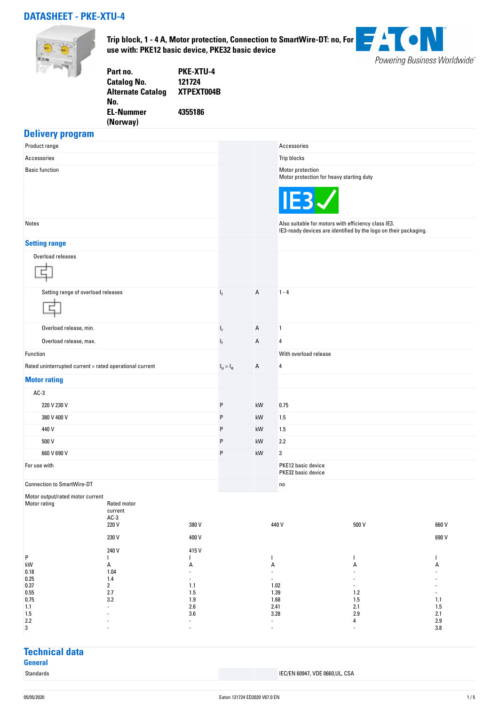### **DATASHEET - PKE-XTU-4**



**Trip block, 1 - 4 A, Motor protection, Connection to SmartWire-DT: no, For use with: PKE12 basic device, PKE32 basic device**



| <b>PKE-XTU-4</b> |
|------------------|
| 121724           |
| XTPEXT004B       |
|                  |
| 4355186          |
|                  |
|                  |

#### **Delivery program**

| . .<br>Product range                                    |                                                    |                |             |                | Accessories                                                                                                             |
|---------------------------------------------------------|----------------------------------------------------|----------------|-------------|----------------|-------------------------------------------------------------------------------------------------------------------------|
| Accessories                                             |                                                    |                |             |                | Trip blocks                                                                                                             |
| <b>Basic function</b>                                   |                                                    |                |             |                | Motor protection<br>Motor protection for heavy starting duty                                                            |
|                                                         |                                                    |                |             |                | <b>IEB</b>                                                                                                              |
| Notes                                                   |                                                    |                |             |                | Also suitable for motors with efficiency class IE3.<br>IE3-ready devices are identified by the logo on their packaging. |
| <b>Setting range</b>                                    |                                                    |                |             |                |                                                                                                                         |
| Overload releases                                       |                                                    |                |             |                |                                                                                                                         |
| Setting range of overload releases                      |                                                    |                | $I_r$       | A              | $1 - 4$                                                                                                                 |
| Overload release, min.                                  |                                                    |                | $I_r$       | A              | $\mathbf{1}$                                                                                                            |
| Overload release, max.                                  |                                                    |                | $I_r$       | A              | 4                                                                                                                       |
| Function                                                |                                                    |                |             |                | With overload release                                                                                                   |
| Rated uninterrupted current = rated operational current |                                                    |                | $I_u = I_e$ | Α              | 4                                                                                                                       |
| <b>Motor rating</b>                                     |                                                    |                |             |                |                                                                                                                         |
| $AC-3$                                                  |                                                    |                |             |                |                                                                                                                         |
| 220 V 230 V                                             |                                                    |                | P           | kW             | 0.75                                                                                                                    |
| 380 V 400 V                                             |                                                    |                | P           | kW             | 1.5                                                                                                                     |
| 440 V                                                   |                                                    |                | P           | kW             | 1.5                                                                                                                     |
| 500 V                                                   |                                                    |                | P           | kW             | 2.2                                                                                                                     |
| 660 V 690 V                                             |                                                    |                | P           | kW             | 3                                                                                                                       |
| For use with                                            |                                                    |                |             |                | PKE12 basic device<br>PKE32 basic device                                                                                |
| <b>Connection to SmartWire-DT</b>                       |                                                    |                |             |                | no                                                                                                                      |
| Motor output/rated motor current<br>Motor rating        | Rated motor<br>current<br>$AC-3$<br>220 V<br>230 V | 380 V<br>400 V |             |                | 440 V<br>500 V<br>660 V<br>690 V                                                                                        |
|                                                         | 240 V                                              | 415V           |             |                |                                                                                                                         |
| P<br>$\mathsf{k}\mathsf{W}$                             | T                                                  |                |             | T              | T<br>H                                                                                                                  |
| 0.18                                                    | A<br>1.04                                          | Α<br>ä,        |             | Α<br>÷,        | А<br>А                                                                                                                  |
| $0.25\,$<br>0.37                                        | 1.4<br>$\sqrt{2}$                                  | ÷,<br>$1.1$    |             | $\blacksquare$ | 1.02<br>٠                                                                                                               |

## **Technical data**

**General**

 $0.5$  1.39 1.2 1.2  $1.5$  1.39 1.2 1.2  $1.2$  $0.75$  3.2 3.2 1.9 1.9 1.68 1.68 1.5 1.5 1.1 1.1  $2.6$  2.41  $2.1$   $2.1$   $2.1$   $1.5$ 1.5 - 3.6 3.28 2.9 2.1  $2.2$  4 2.9  $3$  -  $3.8$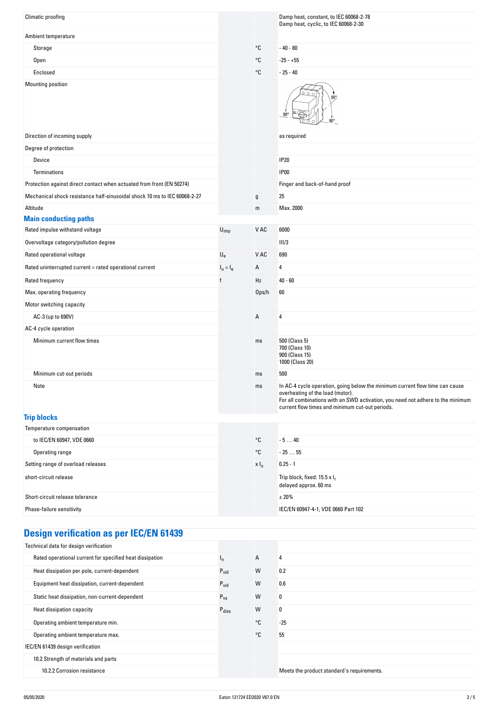| <b>Climatic proofing</b>                                                  |                           |                   | Damp heat, constant, to IEC 60068-2-78<br>Damp heat, cyclic, to IEC 60068-2-30                                                                                                                                                                         |
|---------------------------------------------------------------------------|---------------------------|-------------------|--------------------------------------------------------------------------------------------------------------------------------------------------------------------------------------------------------------------------------------------------------|
| Ambient temperature                                                       |                           |                   |                                                                                                                                                                                                                                                        |
| Storage                                                                   |                           | °C                | $-40 - 80$                                                                                                                                                                                                                                             |
| <b>Open</b>                                                               |                           | °C                | $-25 - +55$                                                                                                                                                                                                                                            |
| Enclosed                                                                  |                           | °C                | $-25 - 40$                                                                                                                                                                                                                                             |
| Mounting position                                                         |                           |                   | ٩n<br>$90^{\circ}$                                                                                                                                                                                                                                     |
| Direction of incoming supply                                              |                           |                   | as required                                                                                                                                                                                                                                            |
| Degree of protection                                                      |                           |                   |                                                                                                                                                                                                                                                        |
| Device                                                                    |                           |                   | <b>IP20</b>                                                                                                                                                                                                                                            |
| Terminations                                                              |                           |                   | <b>IP00</b>                                                                                                                                                                                                                                            |
| Protection against direct contact when actuated from front (EN 50274)     |                           |                   | Finger and back-of-hand proof                                                                                                                                                                                                                          |
| Mechanical shock resistance half-sinusoidal shock 10 ms to IEC 60068-2-27 |                           | g                 | 25                                                                                                                                                                                                                                                     |
| Altitude                                                                  |                           | m                 | Max. 2000                                                                                                                                                                                                                                              |
| <b>Main conducting paths</b>                                              |                           |                   |                                                                                                                                                                                                                                                        |
| Rated impulse withstand voltage                                           | $U_{imp}$                 | V AC              | 6000                                                                                                                                                                                                                                                   |
| Overvoltage category/pollution degree                                     |                           |                   | III/3                                                                                                                                                                                                                                                  |
| Rated operational voltage                                                 | $\mathsf{U}_{\mathsf{e}}$ | V AC              | 690                                                                                                                                                                                                                                                    |
| Rated uninterrupted current = rated operational current                   | $Iu = Ie$                 | А                 | 4                                                                                                                                                                                                                                                      |
| Rated frequency                                                           | f                         | Hz                | $40 - 60$                                                                                                                                                                                                                                              |
| Max. operating frequency                                                  |                           | Ops/h             | 60                                                                                                                                                                                                                                                     |
| Motor switching capacity                                                  |                           |                   |                                                                                                                                                                                                                                                        |
| AC-3 (up to 690V)                                                         |                           | А                 | 4                                                                                                                                                                                                                                                      |
| AC-4 cycle operation                                                      |                           |                   |                                                                                                                                                                                                                                                        |
| Minimum current flow times                                                |                           | ms                | 500 (Class 5)<br>700 (Class 10)<br>900 (Class 15)<br>1000 (Class 20)                                                                                                                                                                                   |
| Minimum cut-out periods                                                   |                           | ms                | 500                                                                                                                                                                                                                                                    |
| Note                                                                      |                           | ms                | In AC-4 cycle operation, going below the minimum current flow time can cause<br>overheating of the load (motor).<br>For all combinations with an SWD activation, you need not adhere to the minimum<br>current flow times and minimum cut-out periods. |
| <b>Trip blocks</b>                                                        |                           |                   |                                                                                                                                                                                                                                                        |
| Temperature compensation                                                  |                           |                   |                                                                                                                                                                                                                                                        |
| to IEC/EN 60947, VDE 0660                                                 |                           | $^{\circ}{\tt C}$ | $-540$                                                                                                                                                                                                                                                 |
| Operating range                                                           |                           | °C                | $-2555$                                                                                                                                                                                                                                                |
| Setting range of overload releases                                        |                           | x I <sub>u</sub>  | $0.25 - 1$                                                                                                                                                                                                                                             |
| short-circuit release                                                     |                           |                   | Trip block, fixed: 15.5 x Ir<br>delayed approx. 60 ms                                                                                                                                                                                                  |
| Short-circuit release tolerance                                           |                           |                   | ± 20%                                                                                                                                                                                                                                                  |
| Phase-failure sensitivity                                                 |                           |                   | IEC/EN 60947-4-1, VDE 0660 Part 102                                                                                                                                                                                                                    |

# **Design verification as per IEC/EN 61439**

| Technical data for design verification                   |                   |    |                                            |
|----------------------------------------------------------|-------------------|----|--------------------------------------------|
| Rated operational current for specified heat dissipation | ı,                | А  | 4                                          |
| Heat dissipation per pole, current-dependent             | $P_{\text{vid}}$  | W  | 0.2                                        |
| Equipment heat dissipation, current-dependent            | $P_{vid}$         | W  | 0.6                                        |
| Static heat dissipation, non-current-dependent           | $P_{VS}$          | W  | 0                                          |
| Heat dissipation capacity                                | $P_{\text{diss}}$ | W  | 0                                          |
| Operating ambient temperature min.                       |                   | °C | $-25$                                      |
| Operating ambient temperature max.                       |                   | °C | 55                                         |
| IEC/EN 61439 design verification                         |                   |    |                                            |
| 10.2 Strength of materials and parts                     |                   |    |                                            |
| 10.2.2 Corrosion resistance                              |                   |    | Meets the product standard's requirements. |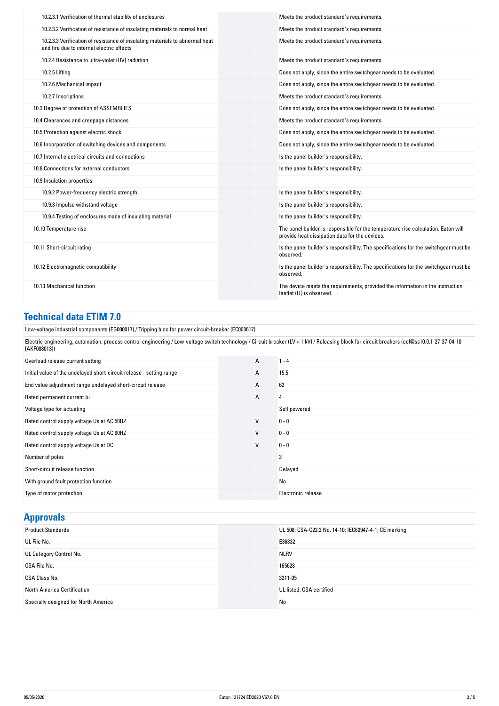| 10.2.3.1 Verification of thermal stability of enclosures                                                                  | Meets the product standard's requirements.                                                                                          |
|---------------------------------------------------------------------------------------------------------------------------|-------------------------------------------------------------------------------------------------------------------------------------|
| 10.2.3.2 Verification of resistance of insulating materials to normal heat                                                | Meets the product standard's requirements.                                                                                          |
| 10.2.3.3 Verification of resistance of insulating materials to abnormal heat<br>and fire due to internal electric effects | Meets the product standard's requirements.                                                                                          |
| 10.2.4 Resistance to ultra-violet (UV) radiation                                                                          | Meets the product standard's requirements.                                                                                          |
| 10.2.5 Lifting                                                                                                            | Does not apply, since the entire switchgear needs to be evaluated.                                                                  |
| 10.2.6 Mechanical impact                                                                                                  | Does not apply, since the entire switchgear needs to be evaluated.                                                                  |
| 10.2.7 Inscriptions                                                                                                       | Meets the product standard's requirements.                                                                                          |
| 10.3 Degree of protection of ASSEMBLIES                                                                                   | Does not apply, since the entire switchgear needs to be evaluated.                                                                  |
| 10.4 Clearances and creepage distances                                                                                    | Meets the product standard's requirements.                                                                                          |
| 10.5 Protection against electric shock                                                                                    | Does not apply, since the entire switchgear needs to be evaluated.                                                                  |
| 10.6 Incorporation of switching devices and components                                                                    | Does not apply, since the entire switchgear needs to be evaluated.                                                                  |
| 10.7 Internal electrical circuits and connections                                                                         | Is the panel builder's responsibility.                                                                                              |
| 10.8 Connections for external conductors                                                                                  | Is the panel builder's responsibility.                                                                                              |
| 10.9 Insulation properties                                                                                                |                                                                                                                                     |
| 10.9.2 Power-frequency electric strength                                                                                  | Is the panel builder's responsibility.                                                                                              |
| 10.9.3 Impulse withstand voltage                                                                                          | Is the panel builder's responsibility.                                                                                              |
| 10.9.4 Testing of enclosures made of insulating material                                                                  | Is the panel builder's responsibility.                                                                                              |
| 10.10 Temperature rise                                                                                                    | The panel builder is responsible for the temperature rise calculation. Eaton will<br>provide heat dissipation data for the devices. |
| 10.11 Short-circuit rating                                                                                                | Is the panel builder's responsibility. The specifications for the switchgear must be<br>observed.                                   |
| 10.12 Electromagnetic compatibility                                                                                       | Is the panel builder's responsibility. The specifications for the switchgear must be<br>observed.                                   |
| 10.13 Mechanical function                                                                                                 | The device meets the requirements, provided the information in the instruction<br>leaflet (IL) is observed.                         |

### **Technical data ETIM 7.0**

Low-voltage industrial components (EG000017) / Tripping bloc for power circuit-breaker (EC000617)

Electric engineering, automation, process control engineering / Low-voltage switch technology / Circuit breaker (LV < 1 kV) / Releasing block for circuit breakers (ecl@ss10.0.1-27-37-04-10 [AKF008013])

| Overload release current setting                                     | $\mathsf{A}$ | $1 - 4$            |
|----------------------------------------------------------------------|--------------|--------------------|
| Initial value of the undelayed short-circuit release - setting range | А            | 15.5               |
| End value adjustment range undelayed short-circuit release           | A            | 62                 |
| Rated permanent current lu                                           | $\mathsf{A}$ | 4                  |
| Voltage type for actuating                                           |              | Self powered       |
| Rated control supply voltage Us at AC 50HZ                           | $\mathsf{V}$ | $0 - 0$            |
| Rated control supply voltage Us at AC 60HZ                           | V            | $0 - 0$            |
| Rated control supply voltage Us at DC                                | V            | $0 - 0$            |
| Number of poles                                                      |              | 3                  |
| Short-circuit release function                                       |              | Delayed            |
| With ground fault protection function                                |              | No                 |
| Type of motor protection                                             |              | Electronic release |

### **Approvals**

| <b>Product Standards</b>             | UL 508; CSA-C22.2 No. 14-10; IEC60947-4-1; CE marking |
|--------------------------------------|-------------------------------------------------------|
| UL File No.                          | E36332                                                |
| UL Category Control No.              | <b>NLRV</b>                                           |
| CSA File No.                         | 165628                                                |
| CSA Class No.                        | 3211-05                                               |
| North America Certification          | UL listed, CSA certified                              |
| Specially designed for North America | No                                                    |